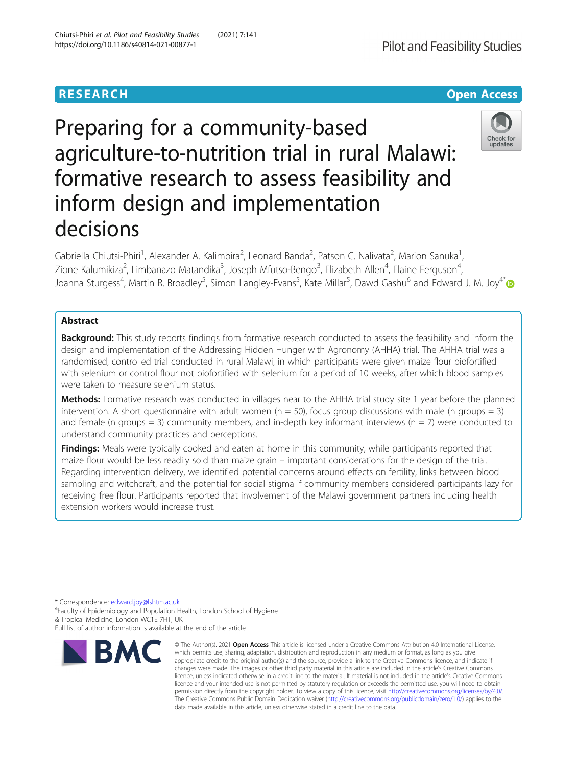

# Preparing for a community-based agriculture-to-nutrition trial in rural Malawi: formative research to assess feasibility and inform design and implementation decisions



Gabriella Chiutsi-Phiri<sup>1</sup>, Alexander A. Kalimbira<sup>2</sup>, Leonard Banda<sup>2</sup>, Patson C. Nalivata<sup>2</sup>, Marion Sanuka<sup>1</sup> , Zione Kalumikiza<sup>2</sup>, Limbanazo Matandika<sup>3</sup>, Joseph Mfutso-Bengo<sup>3</sup>, Elizabeth Allen<sup>4</sup>, Elaine Ferguson<sup>4</sup> , Joanna Sturgess<sup>4</sup>, Martin R. Broadley<sup>5</sup>, Simon Langley-Evans<sup>5</sup>, Kate Millar<sup>5</sup>, Dawd Gashu<sup>6</sup> and Edward J. M. Joy<sup>4[\\*](http://orcid.org/0000-0002-0106-866X)</sup>

# Abstract

Background: This study reports findings from formative research conducted to assess the feasibility and inform the design and implementation of the Addressing Hidden Hunger with Agronomy (AHHA) trial. The AHHA trial was a randomised, controlled trial conducted in rural Malawi, in which participants were given maize flour biofortified with selenium or control flour not biofortified with selenium for a period of 10 weeks, after which blood samples were taken to measure selenium status.

Methods: Formative research was conducted in villages near to the AHHA trial study site 1 year before the planned intervention. A short questionnaire with adult women ( $n = 50$ ), focus group discussions with male (n groups = 3) and female (n groups = 3) community members, and in-depth key informant interviews (n = 7) were conducted to understand community practices and perceptions.

Findings: Meals were typically cooked and eaten at home in this community, while participants reported that maize flour would be less readily sold than maize grain – important considerations for the design of the trial. Regarding intervention delivery, we identified potential concerns around effects on fertility, links between blood sampling and witchcraft, and the potential for social stigma if community members considered participants lazy for receiving free flour. Participants reported that involvement of the Malawi government partners including health extension workers would increase trust.

\* Correspondence: [edward.joy@lshtm.ac.uk](mailto:edward.joy@lshtm.ac.uk) <sup>4</sup>

Faculty of Epidemiology and Population Health, London School of Hygiene & Tropical Medicine, London WC1E 7HT, UK

Full list of author information is available at the end of the article



<sup>©</sup> The Author(s), 2021 **Open Access** This article is licensed under a Creative Commons Attribution 4.0 International License, which permits use, sharing, adaptation, distribution and reproduction in any medium or format, as long as you give appropriate credit to the original author(s) and the source, provide a link to the Creative Commons licence, and indicate if changes were made. The images or other third party material in this article are included in the article's Creative Commons licence, unless indicated otherwise in a credit line to the material. If material is not included in the article's Creative Commons licence and your intended use is not permitted by statutory regulation or exceeds the permitted use, you will need to obtain permission directly from the copyright holder. To view a copy of this licence, visit [http://creativecommons.org/licenses/by/4.0/.](http://creativecommons.org/licenses/by/4.0/) The Creative Commons Public Domain Dedication waiver [\(http://creativecommons.org/publicdomain/zero/1.0/](http://creativecommons.org/publicdomain/zero/1.0/)) applies to the data made available in this article, unless otherwise stated in a credit line to the data.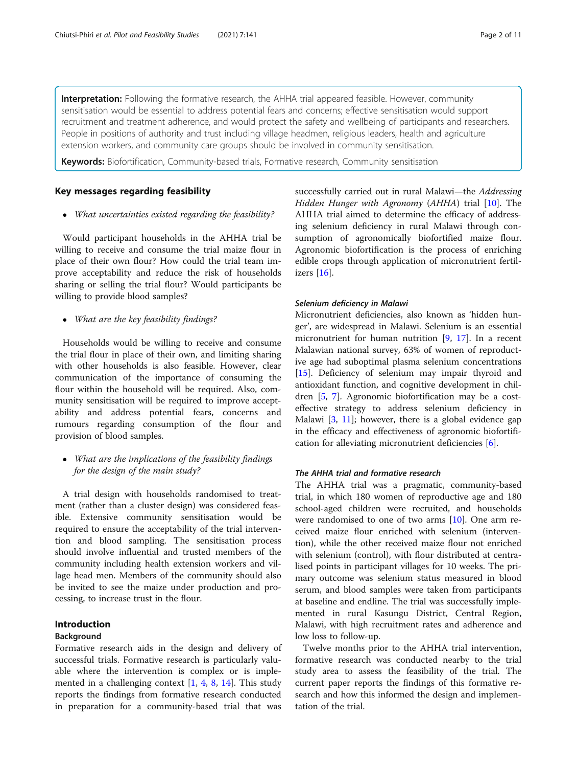Interpretation: Following the formative research, the AHHA trial appeared feasible. However, community sensitisation would be essential to address potential fears and concerns; effective sensitisation would support recruitment and treatment adherence, and would protect the safety and wellbeing of participants and researchers. People in positions of authority and trust including village headmen, religious leaders, health and agriculture extension workers, and community care groups should be involved in community sensitisation.

Keywords: Biofortification, Community-based trials, Formative research, Community sensitisation

# Key messages regarding feasibility

What uncertainties existed regarding the feasibility?

Would participant households in the AHHA trial be willing to receive and consume the trial maize flour in place of their own flour? How could the trial team improve acceptability and reduce the risk of households sharing or selling the trial flour? Would participants be willing to provide blood samples?

• What are the key feasibility findings?

Households would be willing to receive and consume the trial flour in place of their own, and limiting sharing with other households is also feasible. However, clear communication of the importance of consuming the flour within the household will be required. Also, community sensitisation will be required to improve acceptability and address potential fears, concerns and rumours regarding consumption of the flour and provision of blood samples.

• What are the implications of the feasibility findings for the design of the main study?

A trial design with households randomised to treatment (rather than a cluster design) was considered feasible. Extensive community sensitisation would be required to ensure the acceptability of the trial intervention and blood sampling. The sensitisation process should involve influential and trusted members of the community including health extension workers and village head men. Members of the community should also be invited to see the maize under production and processing, to increase trust in the flour.

# Introduction

# Background

Formative research aids in the design and delivery of successful trials. Formative research is particularly valuable where the intervention is complex or is implemented in a challenging context  $[1, 4, 8, 14]$  $[1, 4, 8, 14]$  $[1, 4, 8, 14]$  $[1, 4, 8, 14]$  $[1, 4, 8, 14]$  $[1, 4, 8, 14]$  $[1, 4, 8, 14]$  $[1, 4, 8, 14]$ . This study reports the findings from formative research conducted in preparation for a community-based trial that was successfully carried out in rural Malawi—the Addressing Hidden Hunger with Agronomy (AHHA) trial [[10\]](#page-10-0). The AHHA trial aimed to determine the efficacy of addressing selenium deficiency in rural Malawi through consumption of agronomically biofortified maize flour. Agronomic biofortification is the process of enriching edible crops through application of micronutrient fertilizers [[16](#page-10-0)].

#### Selenium deficiency in Malawi

Micronutrient deficiencies, also known as 'hidden hunger', are widespread in Malawi. Selenium is an essential micronutrient for human nutrition [[9,](#page-10-0) [17](#page-10-0)]. In a recent Malawian national survey, 63% of women of reproductive age had suboptimal plasma selenium concentrations [[15\]](#page-10-0). Deficiency of selenium may impair thyroid and antioxidant function, and cognitive development in children [\[5](#page-10-0), [7\]](#page-10-0). Agronomic biofortification may be a costeffective strategy to address selenium deficiency in Malawi [[3,](#page-10-0) [11\]](#page-10-0); however, there is a global evidence gap in the efficacy and effectiveness of agronomic biofortification for alleviating micronutrient deficiencies [[6](#page-10-0)].

# The AHHA trial and formative research

The AHHA trial was a pragmatic, community-based trial, in which 180 women of reproductive age and 180 school-aged children were recruited, and households were randomised to one of two arms [\[10\]](#page-10-0). One arm received maize flour enriched with selenium (intervention), while the other received maize flour not enriched with selenium (control), with flour distributed at centralised points in participant villages for 10 weeks. The primary outcome was selenium status measured in blood serum, and blood samples were taken from participants at baseline and endline. The trial was successfully implemented in rural Kasungu District, Central Region, Malawi, with high recruitment rates and adherence and low loss to follow-up.

Twelve months prior to the AHHA trial intervention, formative research was conducted nearby to the trial study area to assess the feasibility of the trial. The current paper reports the findings of this formative research and how this informed the design and implementation of the trial.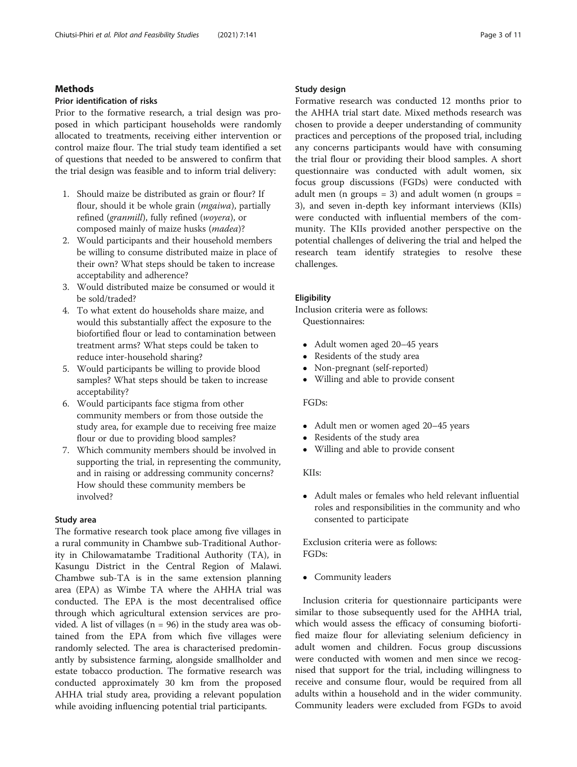# Methods

# Prior identification of risks

Prior to the formative research, a trial design was proposed in which participant households were randomly allocated to treatments, receiving either intervention or control maize flour. The trial study team identified a set of questions that needed to be answered to confirm that the trial design was feasible and to inform trial delivery:

- 1. Should maize be distributed as grain or flour? If flour, should it be whole grain (*mgaiwa*), partially refined (granmill), fully refined (woyera), or composed mainly of maize husks (madea)?
- 2. Would participants and their household members be willing to consume distributed maize in place of their own? What steps should be taken to increase acceptability and adherence?
- 3. Would distributed maize be consumed or would it be sold/traded?
- 4. To what extent do households share maize, and would this substantially affect the exposure to the biofortified flour or lead to contamination between treatment arms? What steps could be taken to reduce inter-household sharing?
- 5. Would participants be willing to provide blood samples? What steps should be taken to increase acceptability?
- 6. Would participants face stigma from other community members or from those outside the study area, for example due to receiving free maize flour or due to providing blood samples?
- 7. Which community members should be involved in supporting the trial, in representing the community, and in raising or addressing community concerns? How should these community members be involved?

#### Study area

The formative research took place among five villages in a rural community in Chambwe sub-Traditional Authority in Chilowamatambe Traditional Authority (TA), in Kasungu District in the Central Region of Malawi. Chambwe sub-TA is in the same extension planning area (EPA) as Wimbe TA where the AHHA trial was conducted. The EPA is the most decentralised office through which agricultural extension services are provided. A list of villages ( $n = 96$ ) in the study area was obtained from the EPA from which five villages were randomly selected. The area is characterised predominantly by subsistence farming, alongside smallholder and estate tobacco production. The formative research was conducted approximately 30 km from the proposed AHHA trial study area, providing a relevant population while avoiding influencing potential trial participants.

# Study design

Formative research was conducted 12 months prior to the AHHA trial start date. Mixed methods research was chosen to provide a deeper understanding of community practices and perceptions of the proposed trial, including any concerns participants would have with consuming the trial flour or providing their blood samples. A short questionnaire was conducted with adult women, six focus group discussions (FGDs) were conducted with adult men (n groups = 3) and adult women (n groups = 3), and seven in-depth key informant interviews (KIIs) were conducted with influential members of the community. The KIIs provided another perspective on the potential challenges of delivering the trial and helped the research team identify strategies to resolve these challenges.

#### **Eligibility**

Inclusion criteria were as follows: Questionnaires:

- Adult women aged 20–45 years
- Residents of the study area
- Non-pregnant (self-reported)
- Willing and able to provide consent

# FGDs:

- Adult men or women aged 20–45 years
- Residents of the study area
- Willing and able to provide consent

#### KIIs:

 Adult males or females who held relevant influential roles and responsibilities in the community and who consented to participate

Exclusion criteria were as follows: FGDs:

• Community leaders

Inclusion criteria for questionnaire participants were similar to those subsequently used for the AHHA trial, which would assess the efficacy of consuming biofortified maize flour for alleviating selenium deficiency in adult women and children. Focus group discussions were conducted with women and men since we recognised that support for the trial, including willingness to receive and consume flour, would be required from all adults within a household and in the wider community. Community leaders were excluded from FGDs to avoid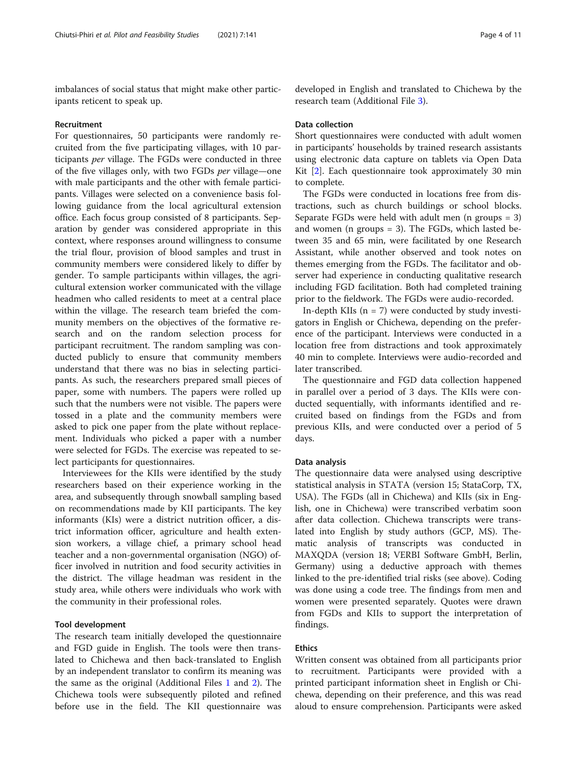imbalances of social status that might make other participants reticent to speak up.

#### Recruitment

For questionnaires, 50 participants were randomly recruited from the five participating villages, with 10 participants per village. The FGDs were conducted in three of the five villages only, with two FGDs per village—one with male participants and the other with female participants. Villages were selected on a convenience basis following guidance from the local agricultural extension office. Each focus group consisted of 8 participants. Separation by gender was considered appropriate in this context, where responses around willingness to consume the trial flour, provision of blood samples and trust in community members were considered likely to differ by gender. To sample participants within villages, the agricultural extension worker communicated with the village headmen who called residents to meet at a central place within the village. The research team briefed the community members on the objectives of the formative research and on the random selection process for participant recruitment. The random sampling was conducted publicly to ensure that community members understand that there was no bias in selecting participants. As such, the researchers prepared small pieces of paper, some with numbers. The papers were rolled up such that the numbers were not visible. The papers were tossed in a plate and the community members were asked to pick one paper from the plate without replacement. Individuals who picked a paper with a number were selected for FGDs. The exercise was repeated to select participants for questionnaires.

Interviewees for the KIIs were identified by the study researchers based on their experience working in the area, and subsequently through snowball sampling based on recommendations made by KII participants. The key informants (KIs) were a district nutrition officer, a district information officer, agriculture and health extension workers, a village chief, a primary school head teacher and a non-governmental organisation (NGO) officer involved in nutrition and food security activities in the district. The village headman was resident in the study area, while others were individuals who work with the community in their professional roles.

# Tool development

The research team initially developed the questionnaire and FGD guide in English. The tools were then translated to Chichewa and then back-translated to English by an independent translator to confirm its meaning was the same as the original (Additional Files [1](#page-9-0) and [2](#page-9-0)). The Chichewa tools were subsequently piloted and refined before use in the field. The KII questionnaire was developed in English and translated to Chichewa by the research team (Additional File [3\)](#page-9-0).

# Data collection

Short questionnaires were conducted with adult women in participants' households by trained research assistants using electronic data capture on tablets via Open Data Kit [[2](#page-10-0)]. Each questionnaire took approximately 30 min to complete.

The FGDs were conducted in locations free from distractions, such as church buildings or school blocks. Separate FGDs were held with adult men (n groups = 3) and women (n groups = 3). The FGDs, which lasted between 35 and 65 min, were facilitated by one Research Assistant, while another observed and took notes on themes emerging from the FGDs. The facilitator and observer had experience in conducting qualitative research including FGD facilitation. Both had completed training prior to the fieldwork. The FGDs were audio-recorded.

In-depth KIIs  $(n = 7)$  were conducted by study investigators in English or Chichewa, depending on the preference of the participant. Interviews were conducted in a location free from distractions and took approximately 40 min to complete. Interviews were audio-recorded and later transcribed.

The questionnaire and FGD data collection happened in parallel over a period of 3 days. The KIIs were conducted sequentially, with informants identified and recruited based on findings from the FGDs and from previous KIIs, and were conducted over a period of 5 days.

#### Data analysis

The questionnaire data were analysed using descriptive statistical analysis in STATA (version 15; StataCorp, TX, USA). The FGDs (all in Chichewa) and KIIs (six in English, one in Chichewa) were transcribed verbatim soon after data collection. Chichewa transcripts were translated into English by study authors (GCP, MS). Thematic analysis of transcripts was conducted in MAXQDA (version 18; VERBI Software GmbH, Berlin, Germany) using a deductive approach with themes linked to the pre-identified trial risks (see above). Coding was done using a code tree. The findings from men and women were presented separately. Quotes were drawn from FGDs and KIIs to support the interpretation of findings.

# Ethics

Written consent was obtained from all participants prior to recruitment. Participants were provided with a printed participant information sheet in English or Chichewa, depending on their preference, and this was read aloud to ensure comprehension. Participants were asked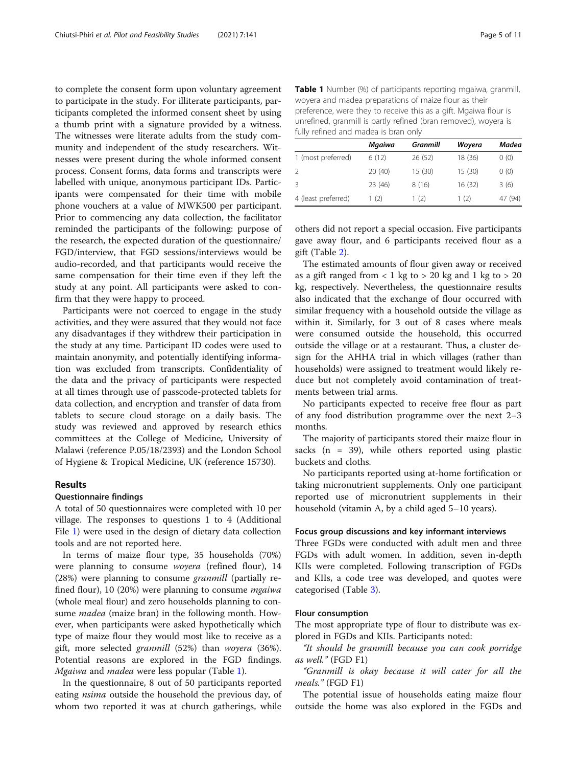to complete the consent form upon voluntary agreement to participate in the study. For illiterate participants, participants completed the informed consent sheet by using a thumb print with a signature provided by a witness. The witnesses were literate adults from the study community and independent of the study researchers. Witnesses were present during the whole informed consent process. Consent forms, data forms and transcripts were labelled with unique, anonymous participant IDs. Participants were compensated for their time with mobile phone vouchers at a value of MWK500 per participant. Prior to commencing any data collection, the facilitator reminded the participants of the following: purpose of the research, the expected duration of the questionnaire/ FGD/interview, that FGD sessions/interviews would be audio-recorded, and that participants would receive the same compensation for their time even if they left the study at any point. All participants were asked to confirm that they were happy to proceed.

Participants were not coerced to engage in the study activities, and they were assured that they would not face any disadvantages if they withdrew their participation in the study at any time. Participant ID codes were used to maintain anonymity, and potentially identifying information was excluded from transcripts. Confidentiality of the data and the privacy of participants were respected at all times through use of passcode-protected tablets for data collection, and encryption and transfer of data from tablets to secure cloud storage on a daily basis. The study was reviewed and approved by research ethics committees at the College of Medicine, University of Malawi (reference P.05/18/2393) and the London School of Hygiene & Tropical Medicine, UK (reference 15730).

#### Results

# Questionnaire findings

A total of 50 questionnaires were completed with 10 per village. The responses to questions 1 to 4 (Additional File [1\)](#page-9-0) were used in the design of dietary data collection tools and are not reported here.

In terms of maize flour type, 35 households (70%) were planning to consume woyera (refined flour), 14 (28%) were planning to consume granmill (partially refined flour), 10 (20%) were planning to consume *mgaiwa* (whole meal flour) and zero households planning to consume *madea* (maize bran) in the following month. However, when participants were asked hypothetically which type of maize flour they would most like to receive as a gift, more selected granmill (52%) than woyera (36%). Potential reasons are explored in the FGD findings. Mgaiwa and *madea* were less popular (Table 1).

In the questionnaire, 8 out of 50 participants reported eating *nsima* outside the household the previous day, of whom two reported it was at church gatherings, while Table 1 Number (%) of participants reporting mgaiwa, granmill, woyera and madea preparations of maize flour as their preference, were they to receive this as a gift. Mgaiwa flour is unrefined, granmill is partly refined (bran removed), woyera is fully refined and madea is bran only

|                     | Mgaiwa  | <b>Granmill</b> | Woyera  | Madea   |  |
|---------------------|---------|-----------------|---------|---------|--|
| 1 (most preferred)  | 6(12)   | 26 (52)         | 18 (36) | 0(0)    |  |
| $\mathcal{P}$       | 20(40)  | 15 (30)         | 15 (30) | 0(0)    |  |
| 3                   | 23 (46) | 8(16)           | 16 (32) | 3(6)    |  |
| 4 (least preferred) | 1 (2)   | (2)             | 1(2)    | 47 (94) |  |

others did not report a special occasion. Five participants gave away flour, and 6 participants received flour as a gift (Table [2](#page-5-0)).

The estimated amounts of flour given away or received as a gift ranged from  $< 1$  kg to  $> 20$  kg and 1 kg to  $> 20$ kg, respectively. Nevertheless, the questionnaire results also indicated that the exchange of flour occurred with similar frequency with a household outside the village as within it. Similarly, for 3 out of 8 cases where meals were consumed outside the household, this occurred outside the village or at a restaurant. Thus, a cluster design for the AHHA trial in which villages (rather than households) were assigned to treatment would likely reduce but not completely avoid contamination of treatments between trial arms.

No participants expected to receive free flour as part of any food distribution programme over the next 2–3 months.

The majority of participants stored their maize flour in sacks  $(n = 39)$ , while others reported using plastic buckets and cloths.

No participants reported using at-home fortification or taking micronutrient supplements. Only one participant reported use of micronutrient supplements in their household (vitamin A, by a child aged 5–10 years).

# Focus group discussions and key informant interviews

Three FGDs were conducted with adult men and three FGDs with adult women. In addition, seven in-depth KIIs were completed. Following transcription of FGDs and KIIs, a code tree was developed, and quotes were categorised (Table [3](#page-5-0)).

#### Flour consumption

The most appropriate type of flour to distribute was explored in FGDs and KIIs. Participants noted:

"It should be granmill because you can cook porridge as well." (FGD F1)

"Granmill is okay because it will cater for all the meals." (FGD F1)

The potential issue of households eating maize flour outside the home was also explored in the FGDs and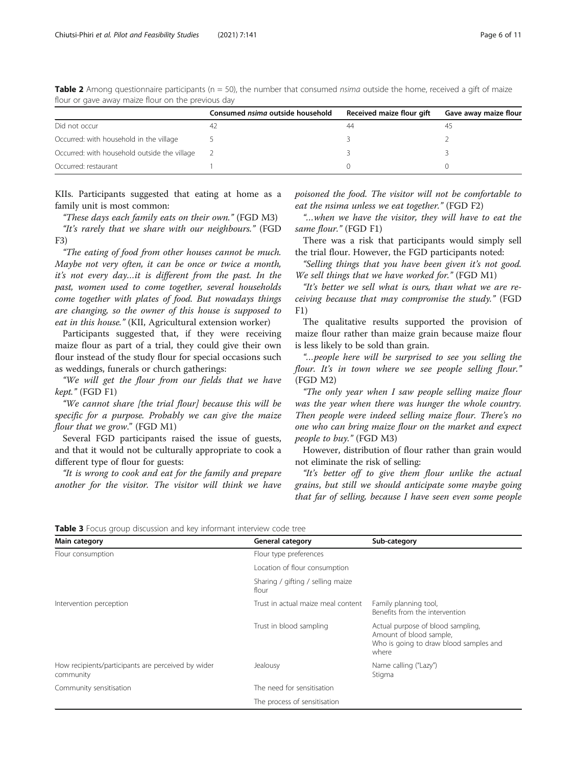|                                              | Consumed <i>nsima</i> outside household | Received maize flour gift | Gave away maize flour |
|----------------------------------------------|-----------------------------------------|---------------------------|-----------------------|
| Did not occur                                |                                         | 44                        |                       |
| Occurred: with household in the village      |                                         |                           |                       |
| Occurred: with household outside the village |                                         |                           |                       |
| Occurred: restaurant                         |                                         |                           |                       |

<span id="page-5-0"></span>Table 2 Among questionnaire participants ( $n = 50$ ), the number that consumed nsima outside the home, received a gift of maize flour or gave away maize flour on the previous day

KIIs. Participants suggested that eating at home as a family unit is most common:

"These days each family eats on their own." (FGD M3) "It's rarely that we share with our neighbours." (FGD F3)

"The eating of food from other houses cannot be much. Maybe not very often, it can be once or twice a month, it's not every day…it is different from the past. In the past, women used to come together, several households come together with plates of food. But nowadays things are changing, so the owner of this house is supposed to eat in this house." (KII, Agricultural extension worker)

Participants suggested that, if they were receiving maize flour as part of a trial, they could give their own flour instead of the study flour for special occasions such as weddings, funerals or church gatherings:

"We will get the flour from our fields that we have kept." (FGD F1)

"We cannot share [the trial flour] because this will be specific for a purpose. Probably we can give the maize flour that we grow." (FGD M1)

Several FGD participants raised the issue of guests, and that it would not be culturally appropriate to cook a different type of flour for guests:

"It is wrong to cook and eat for the family and prepare another for the visitor. The visitor will think we have poisoned the food. The visitor will not be comfortable to eat the nsima unless we eat together." (FGD F2)

"…when we have the visitor, they will have to eat the same flour." (FGD F1)

There was a risk that participants would simply sell the trial flour. However, the FGD participants noted:

"Selling things that you have been given it's not good. We sell things that we have worked for." (FGD M1)

"It's better we sell what is ours, than what we are receiving because that may compromise the study." (FGD  $F1)$ 

The qualitative results supported the provision of maize flour rather than maize grain because maize flour is less likely to be sold than grain.

"…people here will be surprised to see you selling the flour. It's in town where we see people selling flour." (FGD M2)

"The only year when I saw people selling maize flour was the year when there was hunger the whole country. Then people were indeed selling maize flour. There's no one who can bring maize flour on the market and expect people to buy." (FGD M3)

However, distribution of flour rather than grain would not eliminate the risk of selling:

"It's better off to give them flour unlike the actual grains, but still we should anticipate some maybe going that far of selling, because I have seen even some people

Table 3 Focus group discussion and key informant interview code tree

| Main category                                                   | <b>General category</b>                    | Sub-category                                                                                                    |
|-----------------------------------------------------------------|--------------------------------------------|-----------------------------------------------------------------------------------------------------------------|
| Flour consumption                                               | Flour type preferences                     |                                                                                                                 |
|                                                                 | Location of flour consumption              |                                                                                                                 |
|                                                                 | Sharing / gifting / selling maize<br>flour |                                                                                                                 |
| Intervention perception                                         | Trust in actual maize meal content         | Family planning tool,<br>Benefits from the intervention                                                         |
|                                                                 | Trust in blood sampling                    | Actual purpose of blood sampling,<br>Amount of blood sample,<br>Who is going to draw blood samples and<br>where |
| How recipients/participants are perceived by wider<br>community | Jealousy                                   | Name calling ("Lazy")<br>Stigma                                                                                 |
| Community sensitisation                                         | The need for sensitisation                 |                                                                                                                 |
|                                                                 | The process of sensitisation               |                                                                                                                 |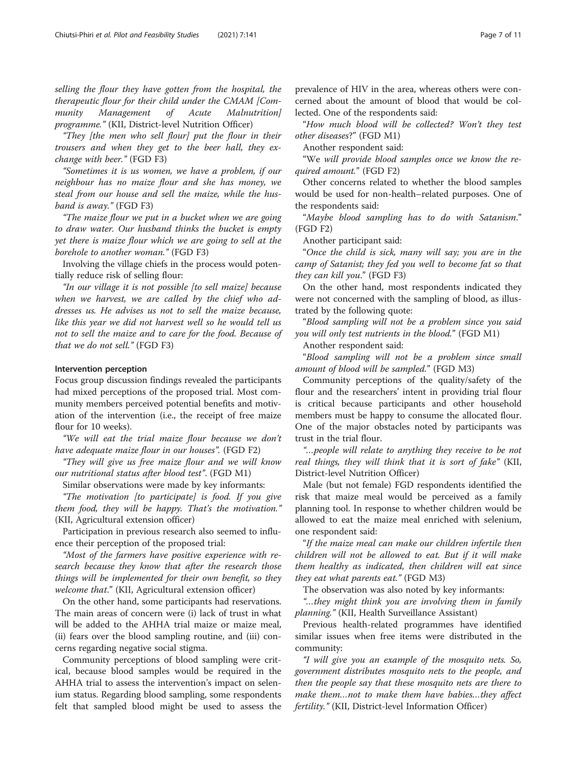selling the flour they have gotten from the hospital, the therapeutic flour for their child under the CMAM [Community Management of Acute Malnutrition] programme." (KII, District-level Nutrition Officer)

"They [the men who sell flour] put the flour in their trousers and when they get to the beer hall, they exchange with beer." (FGD F3)

"Sometimes it is us women, we have a problem, if our neighbour has no maize flour and she has money, we steal from our house and sell the maize, while the husband is away." (FGD F3)

"The maize flour we put in a bucket when we are going to draw water. Our husband thinks the bucket is empty yet there is maize flour which we are going to sell at the borehole to another woman." (FGD F3)

Involving the village chiefs in the process would potentially reduce risk of selling flour:

"In our village it is not possible [to sell maize] because when we harvest, we are called by the chief who addresses us. He advises us not to sell the maize because, like this year we did not harvest well so he would tell us not to sell the maize and to care for the food. Because of that we do not sell." (FGD F3)

## Intervention perception

Focus group discussion findings revealed the participants had mixed perceptions of the proposed trial. Most community members perceived potential benefits and motivation of the intervention (i.e., the receipt of free maize flour for 10 weeks).

"We will eat the trial maize flour because we don't have adequate maize flour in our houses". (FGD F2)

"They will give us free maize flour and we will know our nutritional status after blood test". (FGD M1)

Similar observations were made by key informants:

"The motivation [to participate] is food. If you give them food, they will be happy. That's the motivation." (KII, Agricultural extension officer)

Participation in previous research also seemed to influence their perception of the proposed trial:

"Most of the farmers have positive experience with research because they know that after the research those things will be implemented for their own benefit, so they welcome that." (KII, Agricultural extension officer)

On the other hand, some participants had reservations. The main areas of concern were (i) lack of trust in what will be added to the AHHA trial maize or maize meal, (ii) fears over the blood sampling routine, and (iii) concerns regarding negative social stigma.

Community perceptions of blood sampling were critical, because blood samples would be required in the AHHA trial to assess the intervention's impact on selenium status. Regarding blood sampling, some respondents felt that sampled blood might be used to assess the

prevalence of HIV in the area, whereas others were concerned about the amount of blood that would be collected. One of the respondents said:

"How much blood will be collected? Won't they test other diseases?" (FGD M1)

Another respondent said:

"We will provide blood samples once we know the required amount." (FGD F2)

Other concerns related to whether the blood samples would be used for non-health–related purposes. One of the respondents said:

"Maybe blood sampling has to do with Satanism." (FGD F2)

Another participant said:

"Once the child is sick, many will say; you are in the camp of Satanist; they fed you well to become fat so that they can kill you." (FGD F3)

On the other hand, most respondents indicated they were not concerned with the sampling of blood, as illustrated by the following quote:

"Blood sampling will not be a problem since you said you will only test nutrients in the blood." (FGD M1)

Another respondent said:

"Blood sampling will not be a problem since small amount of blood will be sampled." (FGD M3)

Community perceptions of the quality/safety of the flour and the researchers' intent in providing trial flour is critical because participants and other household members must be happy to consume the allocated flour. One of the major obstacles noted by participants was trust in the trial flour.

"…people will relate to anything they receive to be not real things, they will think that it is sort of fake" (KII, District-level Nutrition Officer)

Male (but not female) FGD respondents identified the risk that maize meal would be perceived as a family planning tool. In response to whether children would be allowed to eat the maize meal enriched with selenium, one respondent said:

"If the maize meal can make our children infertile then children will not be allowed to eat. But if it will make them healthy as indicated, then children will eat since they eat what parents eat." (FGD M3)

The observation was also noted by key informants:

"…they might think you are involving them in family planning." (KII, Health Surveillance Assistant)

Previous health-related programmes have identified similar issues when free items were distributed in the community:

"I will give you an example of the mosquito nets. So, government distributes mosquito nets to the people, and then the people say that these mosquito nets are there to make them…not to make them have babies…they affect fertility." (KII, District-level Information Officer)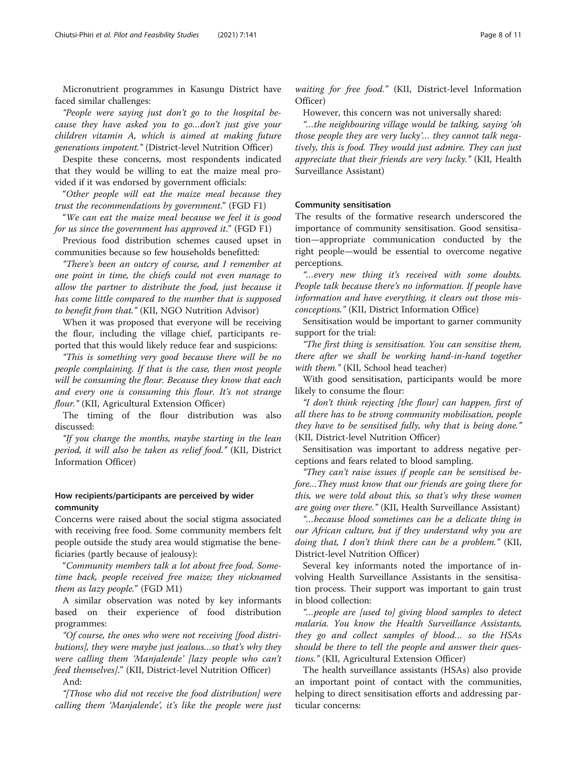Micronutrient programmes in Kasungu District have faced similar challenges:

"People were saying just don't go to the hospital because they have asked you to go…don't just give your children vitamin A, which is aimed at making future generations impotent." (District-level Nutrition Officer)

Despite these concerns, most respondents indicated that they would be willing to eat the maize meal provided if it was endorsed by government officials:

"Other people will eat the maize meal because they trust the recommendations by government." (FGD F1)

"We can eat the maize meal because we feel it is good for us since the government has approved it." (FGD F1)

Previous food distribution schemes caused upset in communities because so few households benefitted:

"There's been an outcry of course, and I remember at one point in time, the chiefs could not even manage to allow the partner to distribute the food, just because it has come little compared to the number that is supposed to benefit from that." (KII, NGO Nutrition Advisor)

When it was proposed that everyone will be receiving the flour, including the village chief, participants reported that this would likely reduce fear and suspicions:

"This is something very good because there will be no people complaining. If that is the case, then most people will be consuming the flour. Because they know that each and every one is consuming this flour. It's not strange flour." (KII, Agricultural Extension Officer)

The timing of the flour distribution was also discussed:

"If you change the months, maybe starting in the lean period, it will also be taken as relief food." (KII, District Information Officer)

# How recipients/participants are perceived by wider community

Concerns were raised about the social stigma associated with receiving free food. Some community members felt people outside the study area would stigmatise the beneficiaries (partly because of jealousy):

"Community members talk a lot about free food. Sometime back, people received free maize; they nicknamed them as lazy people." (FGD M1)

A similar observation was noted by key informants based on their experience of food distribution programmes:

"Of course, the ones who were not receiving [food distributions], they were maybe just jealous…so that's why they were calling them 'Manjalende' [lazy people who can't feed themselves]." (KII, District-level Nutrition Officer)

And:

"[Those who did not receive the food distribution] were calling them 'Manjalende', it's like the people were just waiting for free food." (KII, District-level Information Officer)

However, this concern was not universally shared:

"…the neighbouring village would be talking, saying 'oh those people they are very lucky'… they cannot talk negatively, this is food. They would just admire. They can just appreciate that their friends are very lucky." (KII, Health Surveillance Assistant)

# Community sensitisation

The results of the formative research underscored the importance of community sensitisation. Good sensitisation—appropriate communication conducted by the right people—would be essential to overcome negative perceptions.

"…every new thing it's received with some doubts. People talk because there's no information. If people have information and have everything, it clears out those misconceptions." (KII, District Information Office)

Sensitisation would be important to garner community support for the trial:

"The first thing is sensitisation. You can sensitise them, there after we shall be working hand-in-hand together with them." (KII, School head teacher)

With good sensitisation, participants would be more likely to consume the flour:

"I don't think rejecting [the flour] can happen, first of all there has to be strong community mobilisation, people they have to be sensitised fully, why that is being done." (KII, District-level Nutrition Officer)

Sensitisation was important to address negative perceptions and fears related to blood sampling.

"They can't raise issues if people can be sensitised before…They must know that our friends are going there for this, we were told about this, so that's why these women are going over there." (KII, Health Surveillance Assistant)

"…because blood sometimes can be a delicate thing in our African culture, but if they understand why you are doing that, I don't think there can be a problem." (KII, District-level Nutrition Officer)

Several key informants noted the importance of involving Health Surveillance Assistants in the sensitisation process. Their support was important to gain trust in blood collection:

"…people are [used to] giving blood samples to detect malaria. You know the Health Surveillance Assistants, they go and collect samples of blood… so the HSAs should be there to tell the people and answer their questions." (KII, Agricultural Extension Officer)

The health surveillance assistants (HSAs) also provide an important point of contact with the communities, helping to direct sensitisation efforts and addressing particular concerns: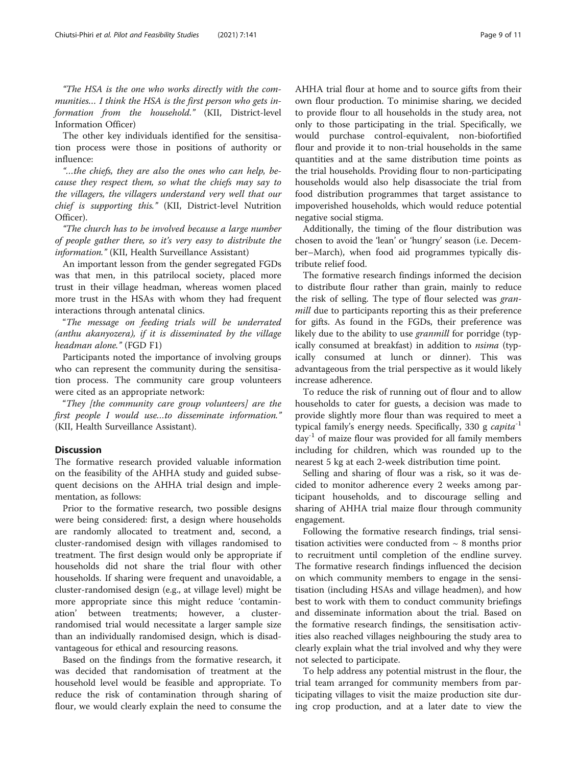"The HSA is the one who works directly with the communities… I think the HSA is the first person who gets information from the household." (KII, District-level Information Officer)

The other key individuals identified for the sensitisation process were those in positions of authority or influence:

"…the chiefs, they are also the ones who can help, because they respect them, so what the chiefs may say to the villagers, the villagers understand very well that our chief is supporting this." (KII, District-level Nutrition Officer).

"The church has to be involved because a large number of people gather there, so it's very easy to distribute the information." (KII, Health Surveillance Assistant)

An important lesson from the gender segregated FGDs was that men, in this patrilocal society, placed more trust in their village headman, whereas women placed more trust in the HSAs with whom they had frequent interactions through antenatal clinics.

"The message on feeding trials will be underrated (anthu akanyozera), if it is disseminated by the village headman alone." (FGD F1)

Participants noted the importance of involving groups who can represent the community during the sensitisation process. The community care group volunteers were cited as an appropriate network:

"They [the community care group volunteers] are the first people I would use…to disseminate information." (KII, Health Surveillance Assistant).

# **Discussion**

The formative research provided valuable information on the feasibility of the AHHA study and guided subsequent decisions on the AHHA trial design and implementation, as follows:

Prior to the formative research, two possible designs were being considered: first, a design where households are randomly allocated to treatment and, second, a cluster-randomised design with villages randomised to treatment. The first design would only be appropriate if households did not share the trial flour with other households. If sharing were frequent and unavoidable, a cluster-randomised design (e.g., at village level) might be more appropriate since this might reduce 'contamination' between treatments; however, a clusterrandomised trial would necessitate a larger sample size than an individually randomised design, which is disadvantageous for ethical and resourcing reasons.

Based on the findings from the formative research, it was decided that randomisation of treatment at the household level would be feasible and appropriate. To reduce the risk of contamination through sharing of flour, we would clearly explain the need to consume the AHHA trial flour at home and to source gifts from their own flour production. To minimise sharing, we decided to provide flour to all households in the study area, not only to those participating in the trial. Specifically, we would purchase control-equivalent, non-biofortified flour and provide it to non-trial households in the same quantities and at the same distribution time points as the trial households. Providing flour to non-participating households would also help disassociate the trial from food distribution programmes that target assistance to impoverished households, which would reduce potential negative social stigma.

Additionally, the timing of the flour distribution was chosen to avoid the 'lean' or 'hungry' season (i.e. December–March), when food aid programmes typically distribute relief food.

The formative research findings informed the decision to distribute flour rather than grain, mainly to reduce the risk of selling. The type of flour selected was granmill due to participants reporting this as their preference for gifts. As found in the FGDs, their preference was likely due to the ability to use *granmill* for porridge (typically consumed at breakfast) in addition to *nsima* (typically consumed at lunch or dinner). This was advantageous from the trial perspective as it would likely increase adherence.

To reduce the risk of running out of flour and to allow households to cater for guests, a decision was made to provide slightly more flour than was required to meet a typical family's energy needs. Specifically, 330 g  $capita^{-1}$  $day^{-1}$  of maize flour was provided for all family members including for children, which was rounded up to the nearest 5 kg at each 2-week distribution time point.

Selling and sharing of flour was a risk, so it was decided to monitor adherence every 2 weeks among participant households, and to discourage selling and sharing of AHHA trial maize flour through community engagement.

Following the formative research findings, trial sensitisation activities were conducted from  $\sim 8$  months prior to recruitment until completion of the endline survey. The formative research findings influenced the decision on which community members to engage in the sensitisation (including HSAs and village headmen), and how best to work with them to conduct community briefings and disseminate information about the trial. Based on the formative research findings, the sensitisation activities also reached villages neighbouring the study area to clearly explain what the trial involved and why they were not selected to participate.

To help address any potential mistrust in the flour, the trial team arranged for community members from participating villages to visit the maize production site during crop production, and at a later date to view the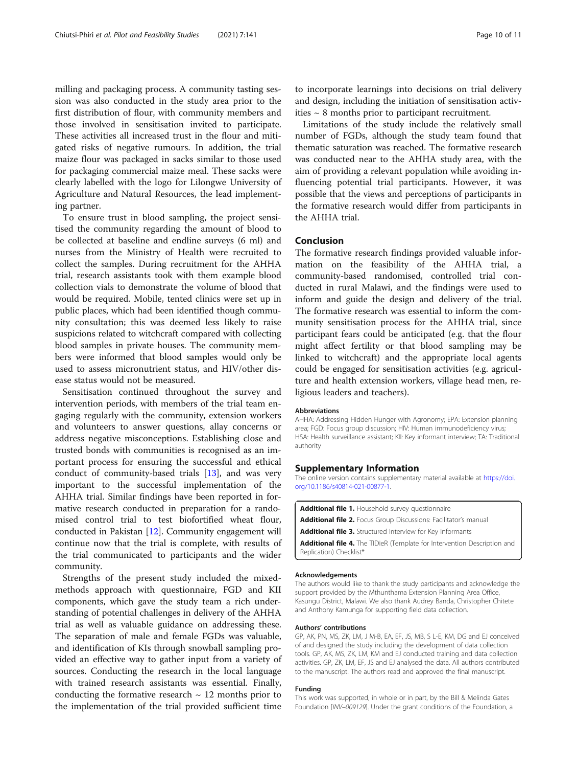<span id="page-9-0"></span>milling and packaging process. A community tasting session was also conducted in the study area prior to the first distribution of flour, with community members and those involved in sensitisation invited to participate. These activities all increased trust in the flour and mitigated risks of negative rumours. In addition, the trial maize flour was packaged in sacks similar to those used for packaging commercial maize meal. These sacks were clearly labelled with the logo for Lilongwe University of Agriculture and Natural Resources, the lead implementing partner.

To ensure trust in blood sampling, the project sensitised the community regarding the amount of blood to be collected at baseline and endline surveys (6 ml) and nurses from the Ministry of Health were recruited to collect the samples. During recruitment for the AHHA trial, research assistants took with them example blood collection vials to demonstrate the volume of blood that would be required. Mobile, tented clinics were set up in public places, which had been identified though community consultation; this was deemed less likely to raise suspicions related to witchcraft compared with collecting blood samples in private houses. The community members were informed that blood samples would only be used to assess micronutrient status, and HIV/other disease status would not be measured.

Sensitisation continued throughout the survey and intervention periods, with members of the trial team engaging regularly with the community, extension workers and volunteers to answer questions, allay concerns or address negative misconceptions. Establishing close and trusted bonds with communities is recognised as an important process for ensuring the successful and ethical conduct of community-based trials [[13\]](#page-10-0), and was very important to the successful implementation of the AHHA trial. Similar findings have been reported in formative research conducted in preparation for a randomised control trial to test biofortified wheat flour, conducted in Pakistan [[12\]](#page-10-0). Community engagement will continue now that the trial is complete, with results of the trial communicated to participants and the wider community.

Strengths of the present study included the mixedmethods approach with questionnaire, FGD and KII components, which gave the study team a rich understanding of potential challenges in delivery of the AHHA trial as well as valuable guidance on addressing these. The separation of male and female FGDs was valuable, and identification of KIs through snowball sampling provided an effective way to gather input from a variety of sources. Conducting the research in the local language with trained research assistants was essential. Finally, conducting the formative research  $\sim$  12 months prior to the implementation of the trial provided sufficient time

to incorporate learnings into decisions on trial delivery and design, including the initiation of sensitisation activities  $\sim$  8 months prior to participant recruitment.

Limitations of the study include the relatively small number of FGDs, although the study team found that thematic saturation was reached. The formative research was conducted near to the AHHA study area, with the aim of providing a relevant population while avoiding influencing potential trial participants. However, it was possible that the views and perceptions of participants in the formative research would differ from participants in the AHHA trial.

# Conclusion

The formative research findings provided valuable information on the feasibility of the AHHA trial, a community-based randomised, controlled trial conducted in rural Malawi, and the findings were used to inform and guide the design and delivery of the trial. The formative research was essential to inform the community sensitisation process for the AHHA trial, since participant fears could be anticipated (e.g. that the flour might affect fertility or that blood sampling may be linked to witchcraft) and the appropriate local agents could be engaged for sensitisation activities (e.g. agriculture and health extension workers, village head men, religious leaders and teachers).

#### **Abbreviations**

AHHA: Addressing Hidden Hunger with Agronomy; EPA: Extension planning area; FGD: Focus group discussion; HIV: Human immunodeficiency virus; HSA: Health surveillance assistant; KII: Key informant interview; TA: Traditional authority

#### Supplementary Information

The online version contains supplementary material available at [https://doi.](https://doi.org/10.1186/s40814-021-00877-1) [org/10.1186/s40814-021-00877-1.](https://doi.org/10.1186/s40814-021-00877-1)

Additional file 1. Household survey questionnaire Additional file 2. Focus Group Discussions: Facilitator's manual Additional file 3. Structured Interview for Key Informants Additional file 4. The TIDieR (Template for Intervention Description and Replication) Checklist\*

#### Acknowledgements

The authors would like to thank the study participants and acknowledge the support provided by the Mthunthama Extension Planning Area Office, Kasungu District, Malawi. We also thank Audrey Banda, Christopher Chitete and Anthony Kamunga for supporting field data collection.

#### Authors' contributions

GP, AK, PN, MS, ZK, LM, J M-B, EA, EF, JS, MB, S L-E, KM, DG and EJ conceived of and designed the study including the development of data collection tools. GP, AK, MS, ZK, LM, KM and EJ conducted training and data collection activities. GP, ZK, LM, EF, JS and EJ analysed the data. All authors contributed to the manuscript. The authors read and approved the final manuscript.

#### Funding

This work was supported, in whole or in part, by the Bill & Melinda Gates Foundation [INV–009129]. Under the grant conditions of the Foundation, a